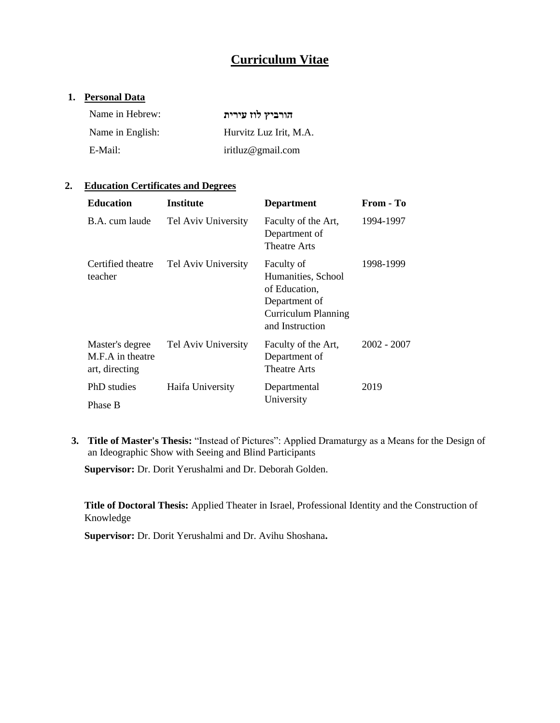# **Curriculum Vitae**

### **1. Personal Data**

| Name in Hebrew:  | הורביץ לוז עירית       |
|------------------|------------------------|
| Name in English: | Hurvitz Luz Irit, M.A. |
| E-Mail:          | iritluz@gmail.com      |

# **2. Education Certificates and Degrees**

| <b>Education</b>                                      | <b>Institute</b>    | <b>Department</b>                                                                                                   | From - To   |
|-------------------------------------------------------|---------------------|---------------------------------------------------------------------------------------------------------------------|-------------|
| B.A. cum laude                                        | Tel Aviv University | Faculty of the Art,<br>Department of<br>Theatre Arts                                                                | 1994-1997   |
| Certified theatre<br>teacher                          | Tel Aviv University | Faculty of<br>Humanities, School<br>of Education,<br>Department of<br><b>Curriculum Planning</b><br>and Instruction | 1998-1999   |
| Master's degree<br>M.F.A in theatre<br>art, directing | Tel Aviv University | Faculty of the Art,<br>Department of<br>Theatre Arts                                                                | 2002 - 2007 |
| PhD studies<br>Phase B                                | Haifa University    | Departmental<br>University                                                                                          | 2019        |

**3. Title of Master's Thesis:** "Instead of Pictures": Applied Dramaturgy as a Means for the Design of an Ideographic Show with Seeing and Blind Participants

**Supervisor:** Dr. Dorit Yerushalmi and Dr. Deborah Golden.

**Title of Doctoral Thesis:** Applied Theater in Israel, Professional Identity and the Construction of Knowledge

**Supervisor:** Dr. Dorit Yerushalmi and Dr. Avihu Shoshana**.**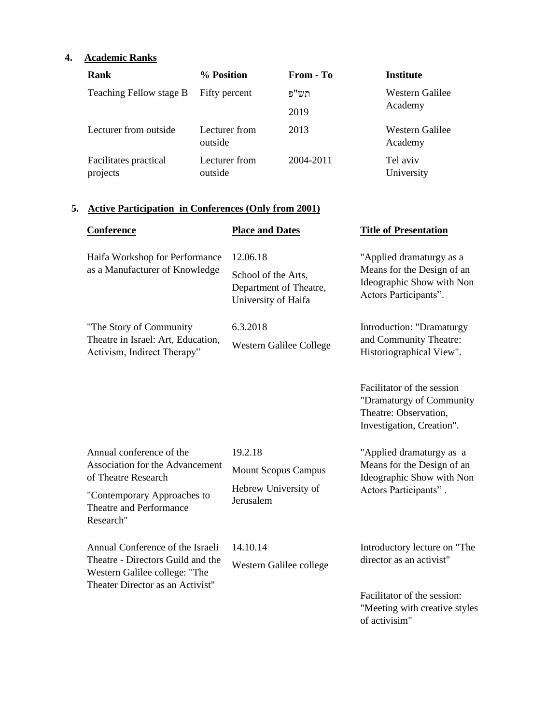# **4. Academic Ranks**

| Rank                              | % Position               | <b>From - To</b> | <b>Institute</b>           |
|-----------------------------------|--------------------------|------------------|----------------------------|
| Teaching Fellow stage B           | Fifty percent            | תש"פ             | Western Galilee<br>Academy |
|                                   |                          | 2019             |                            |
| Lecturer from outside             | Lecturer from<br>outside | 2013             | Western Galilee<br>Academy |
| Facilitates practical<br>projects | Lecturer from<br>outside | 2004-2011        | Tel aviv<br>University     |

# **5. Active Participation in Conferences (Only from 2001)**

| Conference                                                                                                                                                | <b>Place and Dates</b>                                                           | <b>Title of Presentation</b>                                                                                 |
|-----------------------------------------------------------------------------------------------------------------------------------------------------------|----------------------------------------------------------------------------------|--------------------------------------------------------------------------------------------------------------|
| Haifa Workshop for Performance<br>as a Manufacturer of Knowledge                                                                                          | 12.06.18<br>School of the Arts,<br>Department of Theatre,<br>University of Haifa | "Applied dramaturgy as a<br>Means for the Design of an<br>Ideographic Show with Non<br>Actors Participants". |
| "The Story of Community<br>Theatre in Israel: Art, Education,<br>Activism, Indirect Therapy"                                                              | 6.3.2018<br>Western Galilee College                                              | Introduction: "Dramaturgy<br>and Community Theatre:<br>Historiographical View".                              |
|                                                                                                                                                           |                                                                                  | Facilitator of the session<br>"Dramaturgy of Community<br>Theatre: Observation,<br>Investigation, Creation". |
| Annual conference of the<br>Association for the Advancement<br>of Theatre Research<br>"Contemporary Approaches to<br>Theatre and Performance<br>Research" | 19.2.18<br><b>Mount Scopus Campus</b><br>Hebrew University of<br>Jerusalem       | "Applied dramaturgy as a<br>Means for the Design of an<br>Ideographic Show with Non<br>Actors Participants". |
| Annual Conference of the Israeli<br>Theatre - Directors Guild and the<br>Western Galilee college: "The<br>Theater Director as an Activist"                | 14.10.14<br>Western Galilee college                                              | Introductory lecture on "The<br>director as an activist"                                                     |
|                                                                                                                                                           |                                                                                  | Facilitator of the session:<br>"Meeting with creative styles<br>of activisim"                                |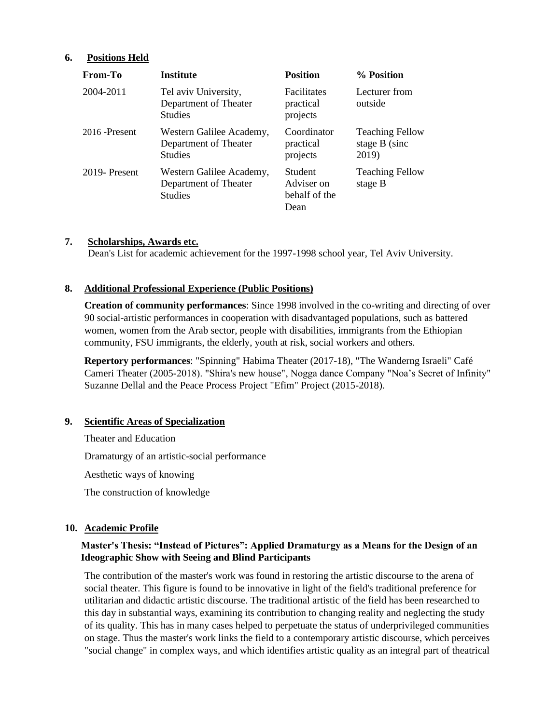### **6. Positions Held**

| From-To         | <b>Institute</b>                                                    | <b>Position</b>                                       | % Position                                       |
|-----------------|---------------------------------------------------------------------|-------------------------------------------------------|--------------------------------------------------|
| 2004-2011       | Tel aviv University,<br>Department of Theater<br><b>Studies</b>     | Facilitates<br>practical<br>projects                  | Lecturer from<br>outside                         |
| $2016$ -Present | Western Galilee Academy,<br>Department of Theater<br><b>Studies</b> | Coordinator<br>practical<br>projects                  | <b>Teaching Fellow</b><br>stage B (sinc<br>2019) |
| 2019-Present    | Western Galilee Academy,<br>Department of Theater<br><b>Studies</b> | <b>Student</b><br>Adviser on<br>behalf of the<br>Dean | <b>Teaching Fellow</b><br>stage B                |

#### **7. Scholarships, Awards etc.**

Dean's List for academic achievement for the 1997-1998 school year, Tel Aviv University.

### **8. Additional Professional Experience (Public Positions)**

**Creation of community performances**: Since 1998 involved in the co-writing and directing of over 90 social-artistic performances in cooperation with disadvantaged populations, such as battered women, women from the Arab sector, people with disabilities, immigrants from the Ethiopian community, FSU immigrants, the elderly, youth at risk, social workers and others.

**Repertory performances**: "Spinning" Habima Theater (2017-18), "The Wanderng Israeli" Café Cameri Theater (2005-2018). "Shira's new house", Nogga dance Company "Noa's Secret of Infinity" Suzanne Dellal and the Peace Process Project "Efim" Project (2015-2018).

#### **9. Scientific Areas of Specialization**

Theater and Education Dramaturgy of an artistic-social performance Aesthetic ways of knowing The construction of knowledge

# **10. Academic Profile**

# **Master's Thesis: "Instead of Pictures": Applied Dramaturgy as a Means for the Design of an Ideographic Show with Seeing and Blind Participants**

The contribution of the master's work was found in restoring the artistic discourse to the arena of social theater. This figure is found to be innovative in light of the field's traditional preference for utilitarian and didactic artistic discourse. The traditional artistic of the field has been researched to this day in substantial ways, examining its contribution to changing reality and neglecting the study of its quality. This has in many cases helped to perpetuate the status of underprivileged communities on stage. Thus the master's work links the field to a contemporary artistic discourse, which perceives "social change" in complex ways, and which identifies artistic quality as an integral part of theatrical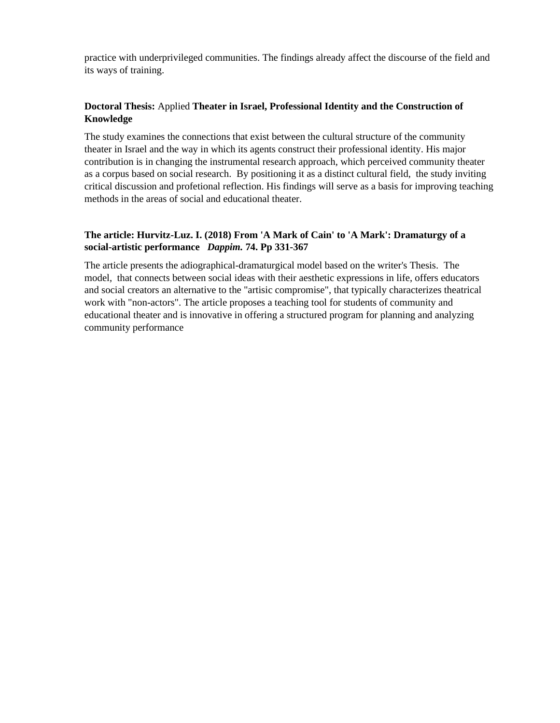practice with underprivileged communities. The findings already affect the discourse of the field and its ways of training.

# **Doctoral Thesis:** Applied **Theater in Israel, Professional Identity and the Construction of Knowledge**

The study examines the connections that exist between the cultural structure of the community theater in Israel and the way in which its agents construct their professional identity. His major contribution is in changing the instrumental research approach, which perceived community theater as a corpus based on social research. By positioning it as a distinct cultural field, the study inviting critical discussion and profetional reflection. His findings will serve as a basis for improving teaching methods in the areas of social and educational theater.

# **The article: Hurvitz-Luz. I. (2018) From 'A Mark of Cain' to 'A Mark': Dramaturgy of a social-artistic performance** *Dappim.* **74. Pp 331-367**

The article presents the adiographical-dramaturgical model based on the writer's Thesis. The model, that connects between social ideas with their aesthetic expressions in life, offers educators and social creators an alternative to the "artisic compromise", that typically characterizes theatrical work with "non-actors". The article proposes a teaching tool for students of community and educational theater and is innovative in offering a structured program for planning and analyzing community performance